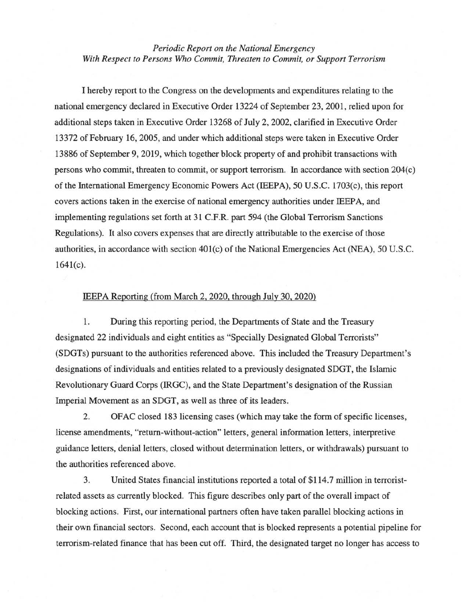*Periodic Report on the National Emergency With Respect to Persons Who Commit, Threaten to Commit, or Support Terrorism* 

1 hereby report to the Congress on the developments and expenditures relating to the national emergency declared in Executive Order 13224 of September 23, 2001, relied upon for additional steps taken in Executive Order 13268 of July 2, 2002, clarified in Executive Order 13372 of February 16, 2005, and under which additional steps were taken in Executive Order 13886 of September 9,2019, which together block property of and prohibit transactions with persons who commit, threaten to commit, or support terrorism. In accordance with section 204( c) of the International Emergency Economic Powers Act (IEEPA), 50 U.S.C. 1703(c), this report covers actions taken in the exercise of national emergency authorities under IEEP A, and implementing regulations set forth at 31 C.F.R. part 594 (the Global Terrorism Sanctions Regulations). It also covers expenses that are directly attributable to the exercise of those authorities, in accordance with section  $401(c)$  of the National Emergencies Act (NEA), 50 U.S.C.  $1641(c)$ .

## IEEPA Reporting (from March 2,2020, through July 30,2020)

1. During this reporting period, the Departments of State and the Treasury designated 22 individuals and eight entities as "Specially Designated Global Terrorists" (SDGTs) pursuant to the authorities referenced above. This included the Treasury Department's designations of individuals and entities related to a previously designated SDGT, the Islarnic Revolutionary Guard Corps (IRGC), and the State Department's designation of the Russian Imperial Movement as an SDGT, as well as three of its leaders.

2. OFAC closed 183 licensing cases (which may take the form of specific licenses, license amendments, "return-without-action" letters, general information letters, interpretive guidance letters, denial letters, closed without determination letters, or withdrawals) pursuant to the authorities referenced above.

3. United States financial institutions reported a total of \$114.7 rnillion in terroristrelated assets as currently blocked. This figure describes only part of the overall impact of blocking actions. First, our international partners often have taken parallel blocking actions in their own financial sectors. Second, each account that is blocked represents a potential pipeline for terrorism-related finance that has been cut off. Third, the designated target no longer has access to